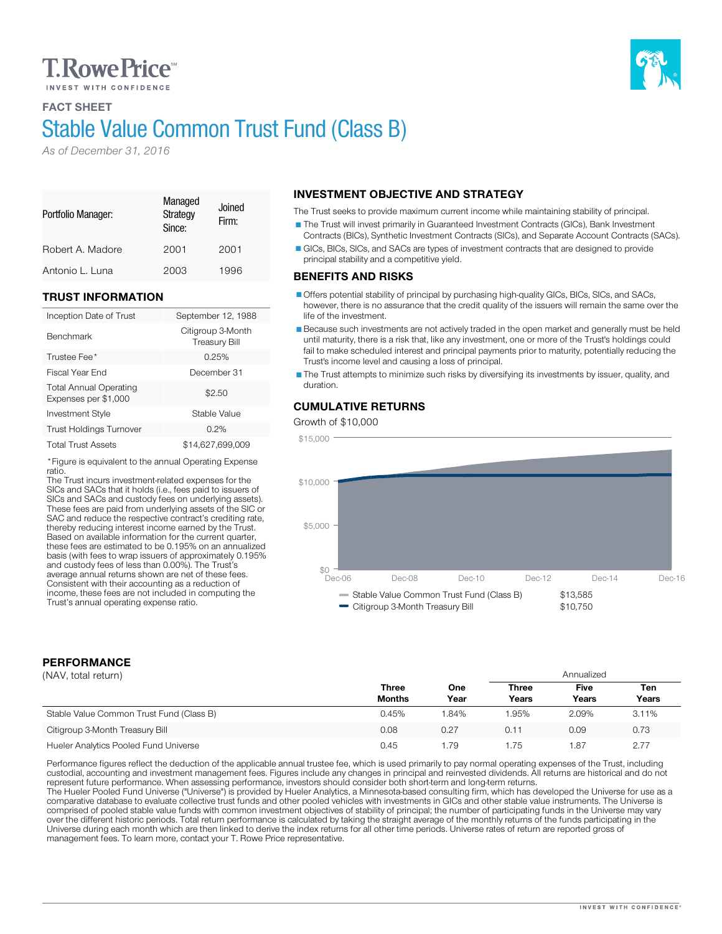# **T. Rowe Price**

FACT SHEET

# Stable Value Common Trust Fund (Class B)

*As of December 31, 2016*

| Portfolio Manager: | Managed<br>Strategy<br>Since: | Joined<br>Firm: |
|--------------------|-------------------------------|-----------------|
| Robert A. Madore   | 2001                          | 2001            |
| Antonio L. Luna    | 2003                          | 1996            |

#### TRUST INFORMATION

| Inception Date of Trust                               | September 12, 1988                        |
|-------------------------------------------------------|-------------------------------------------|
| <b>Benchmark</b>                                      | Citigroup 3-Month<br><b>Treasury Bill</b> |
| Trustee Fee*                                          | 0.25%                                     |
| Fiscal Year End                                       | December 31                               |
| <b>Total Annual Operating</b><br>Expenses per \$1,000 | \$2.50                                    |
| <b>Investment Style</b>                               | Stable Value                              |
| <b>Trust Holdings Turnover</b>                        | 0.2%                                      |
| <b>Total Trust Assets</b>                             | \$14,627,699,009                          |
|                                                       |                                           |

\*Figure is equivalent to the annual Operating Expense

The Trust incurs investment-related expenses for the<br>SICs and SACs that it holds (i.e., fees paid to issuers of<br>SICs and SACs and custody fees on underlying assets). These fees are paid from underlying assets of the SIC or<br>SAC and reduce the respective contract's crediting rate, thereby reducing interest income earned by the Trust. Based on available information for the current quarter, these fees are estimated to be 0.195% on an annualized basis (with fees to wrap issuers of approximately 0.195% and custody fees of less than 0.00%). The Trust's average annual returns shown are net of these fees.<br>Consistent with their accounting as a reduction of

# INVESTMENT OBJECTIVE AND STRATEGY

The Trust seeks to provide maximum current income while maintaining stability of principal. The Trust will invest primarily in Guaranteed Investment Contracts (GICs), Bank Investment Contracts (BICs), Synthetic Investment Contracts (SICs), and Separate Account Contracts (SACs). GICs, BICs, SICs, and SACs are types of investment contracts that are designed to provide principal stability and a competitive yield.

#### BENEFITS AND RISKS

Offers potential stability of principal by purchasing high-quality GICs, BICs, SICs, and SACs, however, there is no assurance that the credit quality of the issuers will remain the same over the life of the investment.

Because such investments are not actively traded in the open market and generally must be held until maturity, there is a risk that, like any investment, one or more of the Trust's holdings could fail to make scheduled interest and principal payments prior to maturity, potentially reducing the Trust's income level and causing a loss of principal.

The Trust attempts to minimize such risks by diversifying its investments by issuer, quality, and duration.

### CUMULATIVE RETURNS

Growth of \$10,000



### PERFORMANCE

|  |  | (NAV, total return) |
|--|--|---------------------|
|--|--|---------------------|

| (NAV, total return)                      |                               |             | Annualized            |               |              |
|------------------------------------------|-------------------------------|-------------|-----------------------|---------------|--------------|
|                                          | <b>Three</b><br><b>Months</b> | One<br>Year | <b>Three</b><br>Years | Five<br>Years | Ten<br>Years |
| Stable Value Common Trust Fund (Class B) | 0.45%                         | 1.84%       | .95%                  | 2.09%         | 3.11%        |
| Citigroup 3-Month Treasury Bill          | 0.08                          | 0.27        | 0.11                  | 0.09          | 0.73         |
| Hueler Analytics Pooled Fund Universe    | 0.45                          | 1.79        | .75                   | 1.87          | 2.77         |

Performance figures reflect the deduction of the applicable annual trustee fee, which is used primarily to pay normal operating expenses of the Trust, including custodial, accounting and investment management fees. Figures include any changes in principal and reinvested dividends. All returns are historical and do not represent future performance. When assessing performance, inves

The Hueler Pooled Fund Universe ("Universe") is provided by Hueler Analytics, a Minnesota-based consulting firm, which has developed the Universe for use as a comparative database to evaluate collective trust funds and oth comprised of pooled stable value funds with common investment objectives of stability of principal; the number of participating funds in the Universe may vary<br>over the different historic periods. Total return performance i